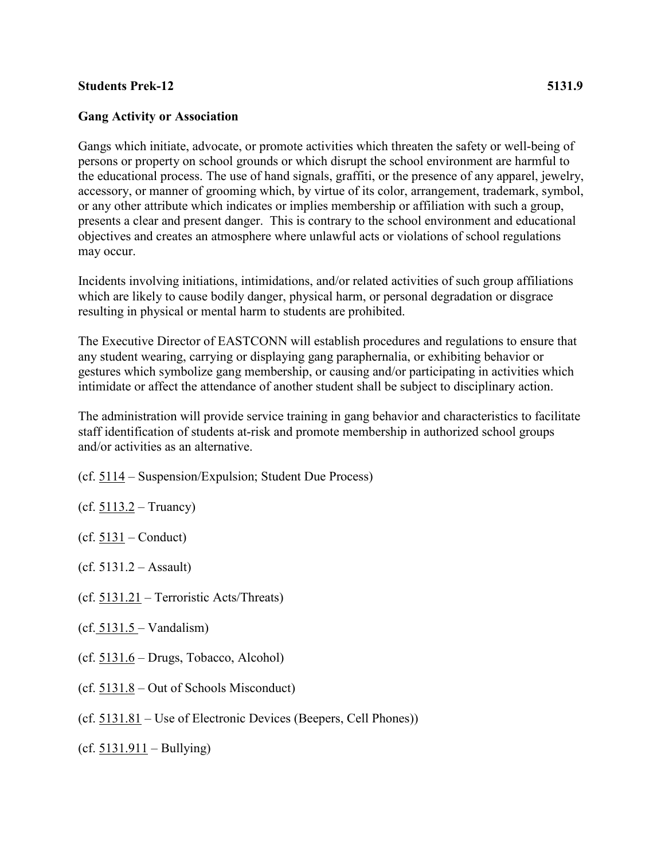## **Students Prek-12 5131.9**

## **Gang Activity or Association**

Gangs which initiate, advocate, or promote activities which threaten the safety or well-being of persons or property on school grounds or which disrupt the school environment are harmful to the educational process. The use of hand signals, graffiti, or the presence of any apparel, jewelry, accessory, or manner of grooming which, by virtue of its color, arrangement, trademark, symbol, or any other attribute which indicates or implies membership or affiliation with such a group, presents a clear and present danger. This is contrary to the school environment and educational objectives and creates an atmosphere where unlawful acts or violations of school regulations may occur.

Incidents involving initiations, intimidations, and/or related activities of such group affiliations which are likely to cause bodily danger, physical harm, or personal degradation or disgrace resulting in physical or mental harm to students are prohibited.

The Executive Director of EASTCONN will establish procedures and regulations to ensure that any student wearing, carrying or displaying gang paraphernalia, or exhibiting behavior or gestures which symbolize gang membership, or causing and/or participating in activities which intimidate or affect the attendance of another student shall be subject to disciplinary action.

The administration will provide service training in gang behavior and characteristics to facilitate staff identification of students at-risk and promote membership in authorized school groups and/or activities as an alternative.

- (cf. [5114](http://z2policy.cabe.org/cabe/DocViewer.jsp?docid=236&z2collection=core#JD_5114) Suspension/Expulsion; Student Due Process)
- (cf.  $5113.2 Truancy$  $5113.2 Truancy$ )
- $(cf. 5131 Conduct)$  $(cf. 5131 Conduct)$  $(cf. 5131 Conduct)$
- $(cf. 5131.2 Assault)$
- (cf. [5131.21](http://z2policy.cabe.org/cabe/DocViewer.jsp?docid=270&z2collection=core#JD_5131.21) Terroristic Acts/Threats)
- $(cf. 5131.5 Vandalism)$  $(cf. 5131.5 Vandalism)$  $(cf. 5131.5 Vandalism)$
- $(cf. 5131.6 Drugs, Tobacco, Alcohol)$  $(cf. 5131.6 Drugs, Tobacco, Alcohol)$  $(cf. 5131.6 Drugs, Tobacco, Alcohol)$
- (cf. [5131.8](http://z2policy.cabe.org/cabe/DocViewer.jsp?docid=276&z2collection=core#JD_5131.8) Out of Schools Misconduct)
- (cf. [5131.81](http://z2policy.cabe.org/cabe/DocViewer.jsp?docid=277&z2collection=core#JD_5131.81) Use of Electronic Devices (Beepers, Cell Phones))
- $(cf. 5131.911 Bullying)$  $(cf. 5131.911 Bullying)$  $(cf. 5131.911 Bullying)$